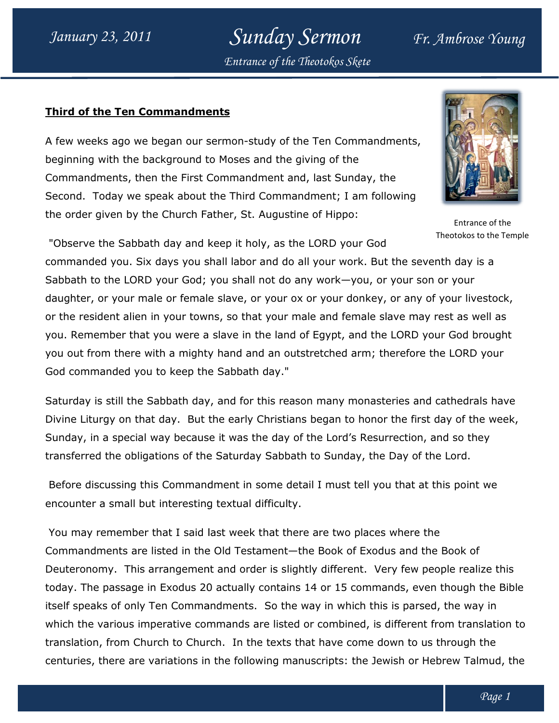Sunday Sermon Fr. Ambrose Young Entrance of the Theotokos Skete

#### <u>Third of the Ten Commandments</u>

A few weeks ago we began our sermon-study of the Ten Commandments, beginning with the background to Moses and the giving of the Commandments, then the First Commandment and, last Sunday, the beginning with the background to Moses and the giving of the<br>Commandments, then the First Commandment and, last Sunday, the<br>Second. Today we speak about the Third Commandment; I am following the order given by the Church Father, St. Augustine of Hippo:



Theotokos to the Temple

"Observe the Sabbath day and keep it holy, as the LORD your God the order given by the Church Father, St. Augustine of Hippo:<br>Entrance of Entrance of<br>Commanded you. Six days you shall labor and do all your work. But the seventh day is a Sabbath to the LORD your God; you shall not do any work—you, or your son or your daughter, or your male or female slave, or your ox or your donkey, or any of your livestock, daughter, or your male or female slave, or your ox or your donkey, or any of your livestock<br>or the resident alien in your towns, so that your male and female slave may rest as well as you. Remember that you were a slave in the land of Egypt, and the LORD your God brought you out from there with a mighty hand and an outstretched arm; therefore the LORD your God commanded you to keep the Sabbath day." Remember that you were a slave in the land of Egypt, and the LORD your God<br>out from there with a mighty hand and an outstretched arm; therefore the LORI<br>commanded you to keep the Sabbath day." study of the Ten Commandments,<br>
and the giving of the<br>
d Commandment; I am following<br>
the d Commandment; I am following<br>
the C. Augustine of Hippo:<br>
Fintance of the<br>
noly, as the LORD your God<br>
Theotoks to the Temple<br>
or y Entrance of the<br>Theotokos to the Ter<br>venth day is a<br>on or your<br>of your livestock,<br>ay rest as well as<br>your God brought<br>e the LORD your<br>and cathedrals have<br>st day of the week<br>i, and so they<br>ithe Lord.<br>at this point we<br>the Lo

Saturday is still the Sabbath day, and for this reason many monasteries and cathedrals have Divine Liturgy on that day. But the early Christians began to honor the first day of the week, Sunday, in a special way because it was the day of the Lord's Resurrection, and so they transferred the obligations of the Saturday Sabbath to Sunday, the Day of the Lord. Saturday is still the Sabbath day, and for this reason many monasteries and cathedrals have<br>Divine Liturgy on that day. But the early Christians began to honor the first day of the week,<br>Sunday, in a special way because it

Before discussing this Commandment in some detail I must tell you that at this point we encounter a small but interesting textual difficul ransferred the obligations of the Saturday Sabbath to Sunday, the Day of the Lord.<br>Before discussing this Commandment in some detail I must tell you that at this point<br>encounter a small but interesting textual difficulty.

You may remember that I said last week that there are two places where the You may remember that I said last week that there are two places where the<br>Commandments are listed in the Old Testament—the Book of Exodus and the Book of Deuteronomy. This arrangement and order is slightly different. Very few people realize this today. The passage in Exodus 20 actually contains 14 or 15 commands, even though the Bible today. The passage in Exodus 20 actually contains 14 or 15 commands, even though the l<br>itself speaks of only Ten Commandments. So the way in which this is parsed, the way in which the various imperative commands are listed or combined, is different from translation to which the various imperative commands are listed or combined, is different from translati<br>translation, from Church to Church. In the texts that have come down to us through the centuries, there are variations in the following manuscripts: the Jewish or Hebrew Talmud, the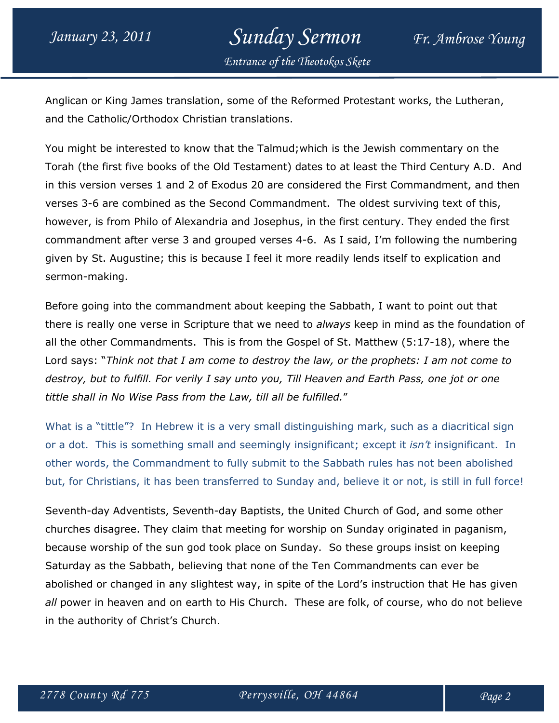### January 23, 2011 Sunday Sermon Fr. Ambrose Young Entrance of the Theotokos Skete

Anglican or King James translation, some of the Reformed Protestant works, the Lutheran, and the Catholic/Orthodox Christian translations.

You might be interested to know that the Talmud;which is the Jewish commentary on the Torah (the first five books of the Old Testament) dates to at least the Third Century A.D. And in this version verses 1 and 2 of Exodus 20 are considered the First Commandment, and then verses 3-6 are combined as the Second Commandment. The oldest surviving text of this, however, is from Philo of Alexandria and Josephus, in the first century. They ended the first commandment after verse 3 and grouped verses 4-6. As I said, I'm following the numbering given by St. Augustine; this is because I feel it more readily lends itself to explication and sermon-making.

Before going into the commandment about keeping the Sabbath, I want to point out that there is really one verse in Scripture that we need to *always* keep in mind as the foundation of all the other Commandments. This is from the Gospel of St. Matthew (5:17-18), where the Lord says: "Think not that I am come to destroy the law, or the prophets: I am not come to destroy, but to fulfill. For verily I say unto you, Till Heaven and Earth Pass, one jot or one tittle shall in No Wise Pass from the Law, till all be fulfilled."

What is a "tittle"? In Hebrew it is a very small distinguishing mark, such as a diacritical sign or a dot. This is something small and seemingly insignificant; except it *isn't* insignificant. In other words, the Commandment to fully submit to the Sabbath rules has not been abolished but, for Christians, it has been transferred to Sunday and, believe it or not, is still in full force!

Seventh-day Adventists, Seventh-day Baptists, the United Church of God, and some other churches disagree. They claim that meeting for worship on Sunday originated in paganism, because worship of the sun god took place on Sunday. So these groups insist on keeping Saturday as the Sabbath, believing that none of the Ten Commandments can ever be abolished or changed in any slightest way, in spite of the Lord's instruction that He has given all power in heaven and on earth to His Church. These are folk, of course, who do not believe in the authority of Christ's Church.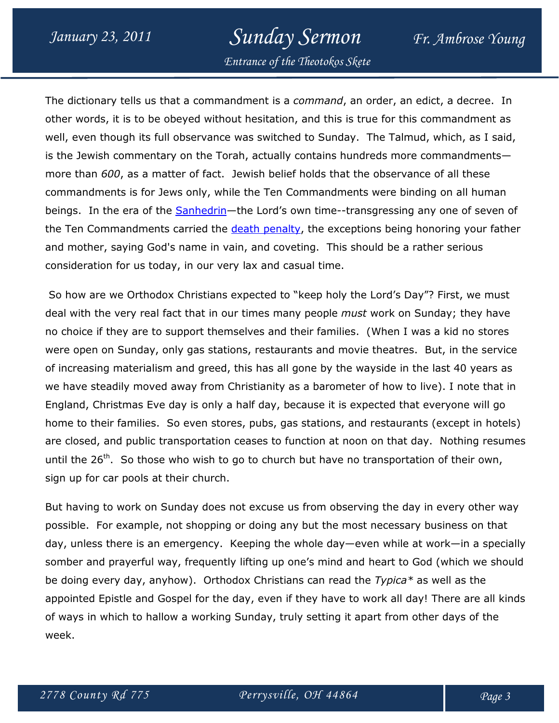## January 23, 2011 Sunday Sermon Fr. Ambrose Young

Entrance of the Theotokos Skete

The dictionary tells us that a commandment is a command, an order, an edict, a decree. In other words, it is to be obeyed without hesitation, and this is true for this commandment as well, even though its full observance was switched to Sunday. The Talmud, which, as I said, is the Jewish commentary on the Torah, actually contains hundreds more commandments more than 600, as a matter of fact. Jewish belief holds that the observance of all these commandments is for Jews only, while the Ten Commandments were binding on all human beings. In the era of the **Sanhedrin**—the Lord's own time--transgressing any one of seven of the Ten Commandments carried the death penalty, the exceptions being honoring your father and mother, saying God's name in vain, and coveting. This should be a rather serious consideration for us today, in our very lax and casual time.

 So how are we Orthodox Christians expected to "keep holy the Lord's Day"? First, we must deal with the very real fact that in our times many people *must* work on Sunday; they have no choice if they are to support themselves and their families. (When I was a kid no stores were open on Sunday, only gas stations, restaurants and movie theatres. But, in the service of increasing materialism and greed, this has all gone by the wayside in the last 40 years as we have steadily moved away from Christianity as a barometer of how to live). I note that in England, Christmas Eve day is only a half day, because it is expected that everyone will go home to their families. So even stores, pubs, gas stations, and restaurants (except in hotels) are closed, and public transportation ceases to function at noon on that day. Nothing resumes until the  $26<sup>th</sup>$ . So those who wish to go to church but have no transportation of their own, sign up for car pools at their church.

But having to work on Sunday does not excuse us from observing the day in every other way possible. For example, not shopping or doing any but the most necessary business on that day, unless there is an emergency. Keeping the whole day—even while at work—in a specially somber and prayerful way, frequently lifting up one's mind and heart to God (which we should be doing every day, anyhow). Orthodox Christians can read the  $Typeica*$  as well as the appointed Epistle and Gospel for the day, even if they have to work all day! There are all kinds of ways in which to hallow a working Sunday, truly setting it apart from other days of the week.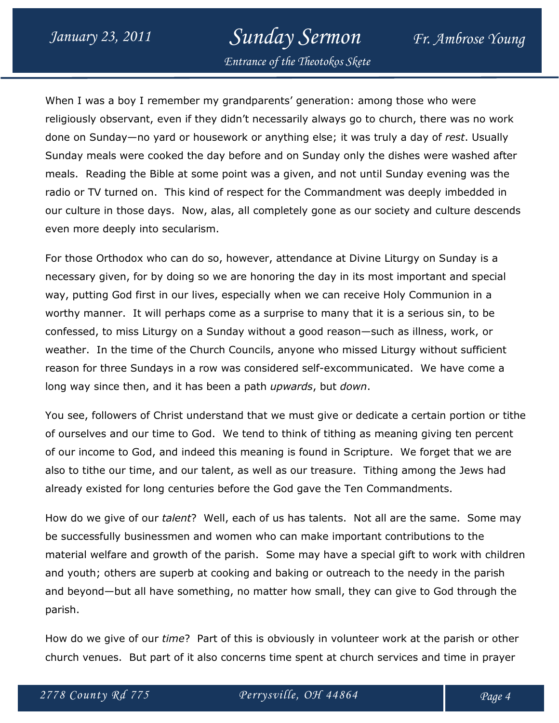## January 23, 2011 Sunday Sermon Fr. Ambrose Young

Entrance of the Theotokos Skete

When I was a boy I remember my grandparents' generation: among those who were religiously observant, even if they didn't necessarily always go to church, there was no work done on Sunday—no yard or housework or anything else; it was truly a day of rest. Usually Sunday meals were cooked the day before and on Sunday only the dishes were washed after meals. Reading the Bible at some point was a given, and not until Sunday evening was the radio or TV turned on. This kind of respect for the Commandment was deeply imbedded in our culture in those days. Now, alas, all completely gone as our society and culture descends even more deeply into secularism.

For those Orthodox who can do so, however, attendance at Divine Liturgy on Sunday is a necessary given, for by doing so we are honoring the day in its most important and special way, putting God first in our lives, especially when we can receive Holy Communion in a worthy manner. It will perhaps come as a surprise to many that it is a serious sin, to be confessed, to miss Liturgy on a Sunday without a good reason—such as illness, work, or weather. In the time of the Church Councils, anyone who missed Liturgy without sufficient reason for three Sundays in a row was considered self-excommunicated. We have come a long way since then, and it has been a path *upwards*, but *down*.

You see, followers of Christ understand that we must give or dedicate a certain portion or tithe of ourselves and our time to God. We tend to think of tithing as meaning giving ten percent of our income to God, and indeed this meaning is found in Scripture. We forget that we are also to tithe our time, and our talent, as well as our treasure. Tithing among the Jews had already existed for long centuries before the God gave the Ten Commandments.

How do we give of our talent? Well, each of us has talents. Not all are the same. Some may be successfully businessmen and women who can make important contributions to the material welfare and growth of the parish. Some may have a special gift to work with children and youth; others are superb at cooking and baking or outreach to the needy in the parish and beyond—but all have something, no matter how small, they can give to God through the parish.

How do we give of our *time*? Part of this is obviously in volunteer work at the parish or other church venues. But part of it also concerns time spent at church services and time in prayer